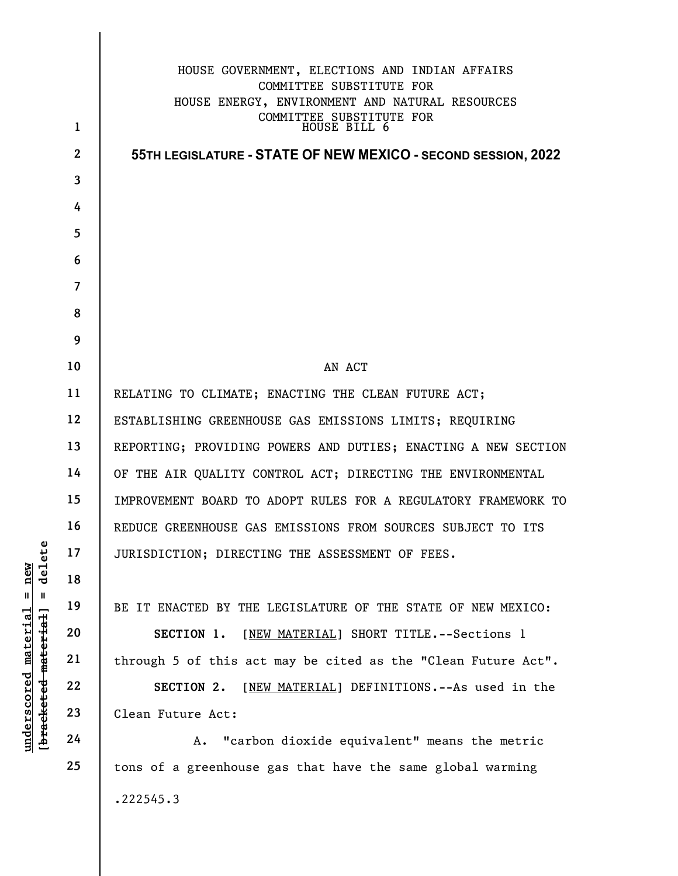|                                              | $\mathbf{1}$            | HOUSE GOVERNMENT, ELECTIONS AND INDIAN AFFAIRS<br>COMMITTEE SUBSTITUTE FOR<br>HOUSE ENERGY, ENVIRONMENT AND NATURAL RESOURCES<br>COMMITTEE SUBSTITUTE FOR<br>HOUSE BILL 6 |
|----------------------------------------------|-------------------------|---------------------------------------------------------------------------------------------------------------------------------------------------------------------------|
|                                              | $\mathbf{2}$            | 55TH LEGISLATURE - STATE OF NEW MEXICO - SECOND SESSION, 2022                                                                                                             |
|                                              | $\overline{\mathbf{3}}$ |                                                                                                                                                                           |
|                                              | 4                       |                                                                                                                                                                           |
|                                              | 5                       |                                                                                                                                                                           |
|                                              | 6                       |                                                                                                                                                                           |
|                                              | $\overline{7}$          |                                                                                                                                                                           |
|                                              | 8                       |                                                                                                                                                                           |
|                                              | 9                       |                                                                                                                                                                           |
|                                              | 10                      | AN ACT                                                                                                                                                                    |
|                                              | 11                      | RELATING TO CLIMATE; ENACTING THE CLEAN FUTURE ACT;                                                                                                                       |
|                                              | 12                      | ESTABLISHING GREENHOUSE GAS EMISSIONS LIMITS; REQUIRING                                                                                                                   |
|                                              | 13                      | REPORTING; PROVIDING POWERS AND DUTIES; ENACTING A NEW SECTION                                                                                                            |
|                                              | 14                      | OF THE AIR QUALITY CONTROL ACT; DIRECTING THE ENVIRONMENTAL                                                                                                               |
|                                              | 15                      | IMPROVEMENT BOARD TO ADOPT RULES FOR A REGULATORY FRAMEWORK TO                                                                                                            |
| delete<br>$=$ new                            | 16                      | REDUCE GREENHOUSE GAS EMISSIONS FROM SOURCES SUBJECT TO ITS                                                                                                               |
|                                              | 17                      | JURISDICTION; DIRECTING THE ASSESSMENT OF FEES.                                                                                                                           |
|                                              | 18                      |                                                                                                                                                                           |
| $\, \, \mathrm{II}$                          | 19                      | BE IT ENACTED BY THE LEGISLATURE OF THE STATE OF NEW MEXICO:                                                                                                              |
|                                              | 20                      | [NEW MATERIAL] SHORT TITLE. -- Sections 1<br>SECTION 1.                                                                                                                   |
|                                              | 21                      | through 5 of this act may be cited as the "Clean Future Act".                                                                                                             |
|                                              | 22                      | SECTION 2.<br>[NEW MATERIAL] DEFINITIONS. -- As used in the                                                                                                               |
| underscored material<br>[bracketed material] | 23                      | Clean Future Act:                                                                                                                                                         |
|                                              | 24                      | "carbon dioxide equivalent" means the metric<br>Α.                                                                                                                        |
|                                              | 25                      | tons of a greenhouse gas that have the same global warming                                                                                                                |
|                                              |                         | .222545.3                                                                                                                                                                 |
|                                              |                         |                                                                                                                                                                           |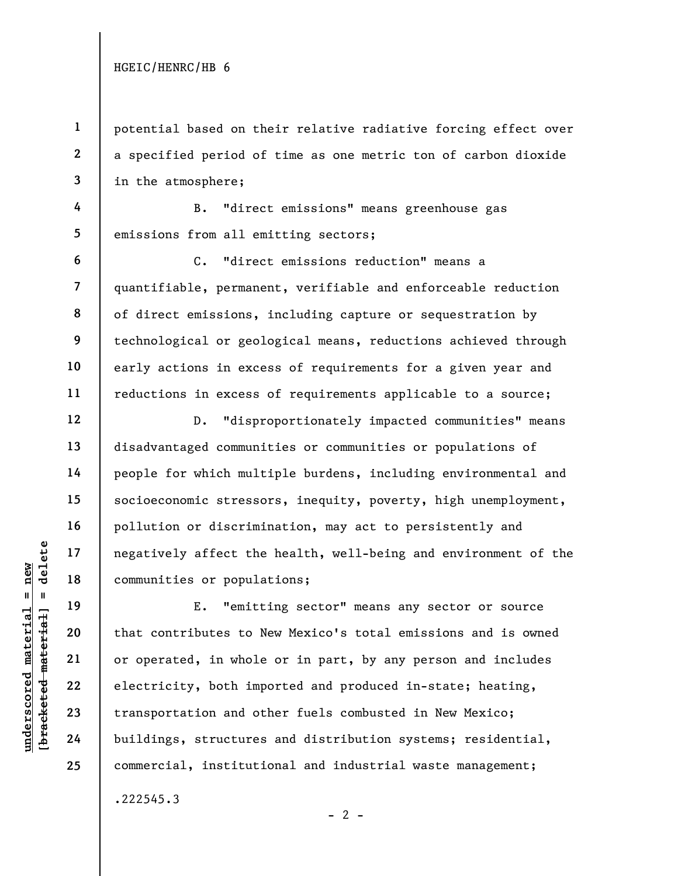1 2 3 potential based on their relative radiative forcing effect over a specified period of time as one metric ton of carbon dioxide in the atmosphere;

4 5 B. "direct emissions" means greenhouse gas emissions from all emitting sectors;

C. "direct emissions reduction" means a quantifiable, permanent, verifiable and enforceable reduction of direct emissions, including capture or sequestration by technological or geological means, reductions achieved through early actions in excess of requirements for a given year and reductions in excess of requirements applicable to a source;

D. "disproportionately impacted communities" means disadvantaged communities or communities or populations of people for which multiple burdens, including environmental and socioeconomic stressors, inequity, poverty, high unemployment, pollution or discrimination, may act to persistently and negatively affect the health, well-being and environment of the communities or populations;

understand material material extended material extended material extended material extended material communities or popular extended material contributes to N<br>understand 21 or operated, in whole electricity, both imp<br>trans E. "emitting sector" means any sector or source that contributes to New Mexico's total emissions and is owned or operated, in whole or in part, by any person and includes electricity, both imported and produced in-state; heating, transportation and other fuels combusted in New Mexico; buildings, structures and distribution systems; residential, commercial, institutional and industrial waste management; .222545.3

 $- 2 -$ 

6

7

8

9

10

11

12

13

14

15

16

17

18

19

20

21

22

23

24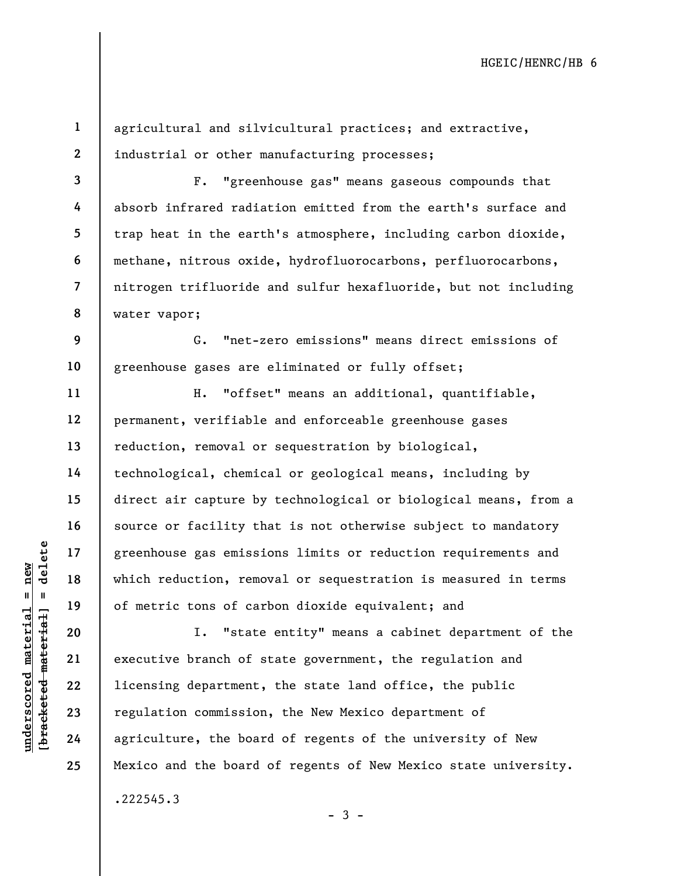agricultural and silvicultural practices; and extractive, industrial or other manufacturing processes;

F. "greenhouse gas" means gaseous compounds that absorb infrared radiation emitted from the earth's surface and trap heat in the earth's atmosphere, including carbon dioxide, methane, nitrous oxide, hydrofluorocarbons, perfluorocarbons, nitrogen trifluoride and sulfur hexafluoride, but not including water vapor;

9 10 G. "net-zero emissions" means direct emissions of greenhouse gases are eliminated or fully offset;

H. "offset" means an additional, quantifiable, permanent, verifiable and enforceable greenhouse gases reduction, removal or sequestration by biological, technological, chemical or geological means, including by direct air capture by technological or biological means, from a source or facility that is not otherwise subject to mandatory greenhouse gas emissions limits or reduction requirements and which reduction, removal or sequestration is measured in terms of metric tons of carbon dioxide equivalent; and

underscored material = new [bracketed material] = delete I. "state entity" means a cabinet department of the executive branch of state government, the regulation and licensing department, the state land office, the public regulation commission, the New Mexico department of agriculture, the board of regents of the university of New Mexico and the board of regents of New Mexico state university.

 $-3 -$ 

.222545.3

1

2

3

4

5

6

7

8

11

12

13

14

15

16

17

18

19

20

21

22

23

24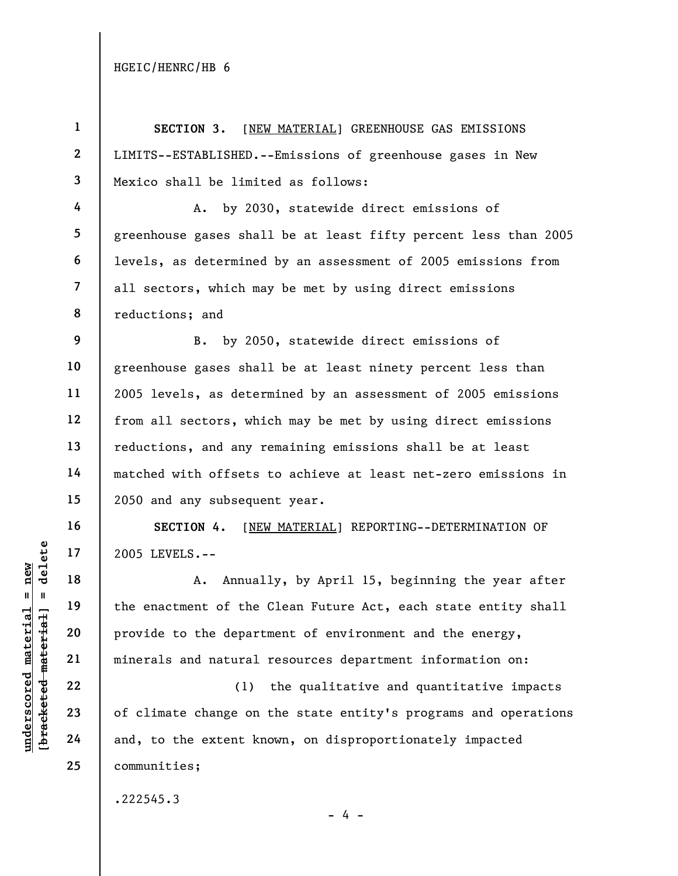1 2 3 SECTION 3. [NEW MATERIAL] GREENHOUSE GAS EMISSIONS LIMITS--ESTABLISHED.--Emissions of greenhouse gases in New Mexico shall be limited as follows:

4 5 6 7 8 A. by 2030, statewide direct emissions of greenhouse gases shall be at least fifty percent less than 2005 levels, as determined by an assessment of 2005 emissions from all sectors, which may be met by using direct emissions reductions; and

9 10 11 12 13 14 15 B. by 2050, statewide direct emissions of greenhouse gases shall be at least ninety percent less than 2005 levels, as determined by an assessment of 2005 emissions from all sectors, which may be met by using direct emissions reductions, and any remaining emissions shall be at least matched with offsets to achieve at least net-zero emissions in 2050 and any subsequent year.

SECTION 4. [NEW MATERIAL] REPORTING--DETERMINATION OF 2005 LEVELS.--

underscored material = new [bracketed material] = delete A. Annually, by April 15, beginning the year after the enactment of the Clean Future Act, each state entity shall provide to the department of environment and the energy, minerals and natural resources department information on:

(1) the qualitative and quantitative impacts of climate change on the state entity's programs and operations and, to the extent known, on disproportionately impacted communities;

 $- 4 -$ 

.222545.3

16

17

18

19

20

21

22

23

24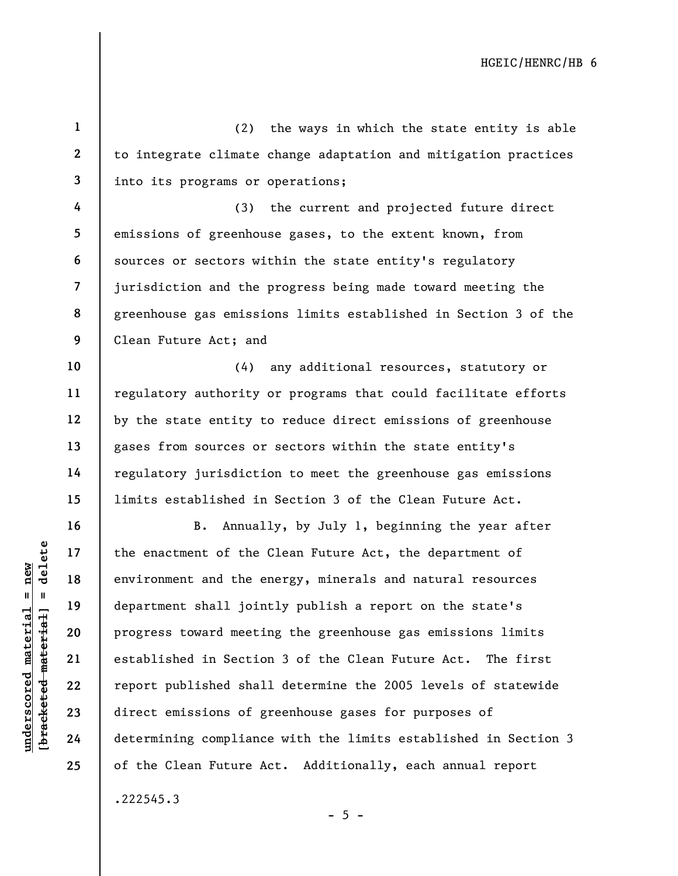3 (2) the ways in which the state entity is able to integrate climate change adaptation and mitigation practices into its programs or operations;

4 5 6 7 8 9 (3) the current and projected future direct emissions of greenhouse gases, to the extent known, from sources or sectors within the state entity's regulatory jurisdiction and the progress being made toward meeting the greenhouse gas emissions limits established in Section 3 of the Clean Future Act; and

10 11 12 13 14 15 (4) any additional resources, statutory or regulatory authority or programs that could facilitate efforts by the state entity to reduce direct emissions of greenhouse gases from sources or sectors within the state entity's regulatory jurisdiction to meet the greenhouse gas emissions limits established in Section 3 of the Clean Future Act.

underscored material species toward meeting and the environment and the environment and the environment and the environment and the environment and the environment and the environment and the environment and the environmen B. Annually, by July 1, beginning the year after the enactment of the Clean Future Act, the department of environment and the energy, minerals and natural resources department shall jointly publish a report on the state's progress toward meeting the greenhouse gas emissions limits established in Section 3 of the Clean Future Act. The first report published shall determine the 2005 levels of statewide direct emissions of greenhouse gases for purposes of determining compliance with the limits established in Section 3 of the Clean Future Act. Additionally, each annual report .222545.3

16

17

18

19

20

21

22

23

24

25

1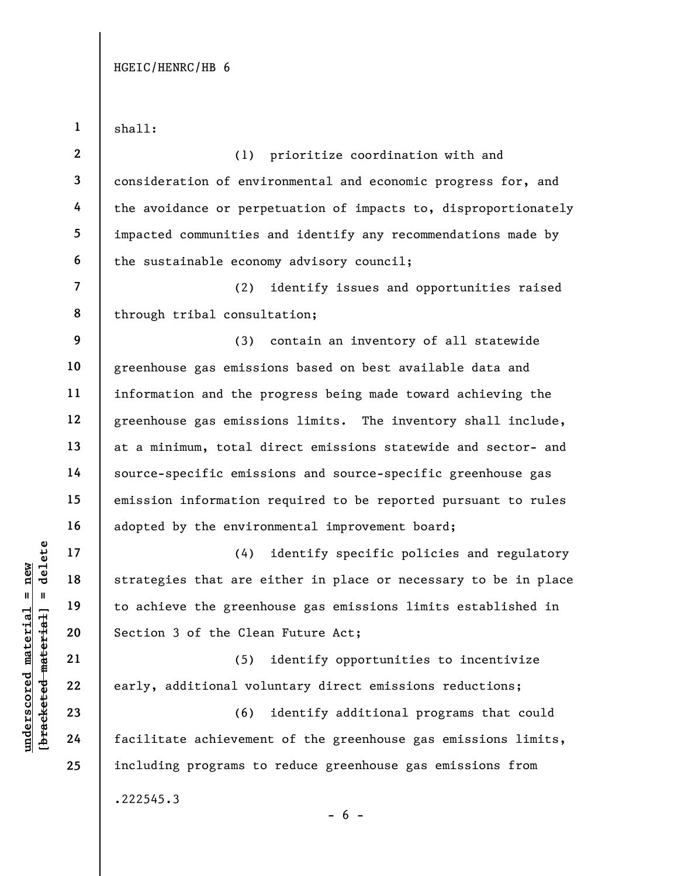1 shall:

7

8

17

18

19

20

21

22

23

24

25

2 3 4 5 6 (1) prioritize coordination with and consideration of environmental and economic progress for, and the avoidance or perpetuation of impacts to, disproportionately impacted communities and identify any recommendations made by the sustainable economy advisory council;

(2) identify issues and opportunities raised through tribal consultation;

9 10 11 12 13 14 15 16 (3) contain an inventory of all statewide greenhouse gas emissions based on best available data and information and the progress being made toward achieving the greenhouse gas emissions limits. The inventory shall include, at a minimum, total direct emissions statewide and sector- and source-specific emissions and source-specific greenhouse gas emission information required to be reported pursuant to rules adopted by the environmental improvement board;

underscored material = new [bracketed material] = delete (4) identify specific policies and regulatory strategies that are either in place or necessary to be in place to achieve the greenhouse gas emissions limits established in Section 3 of the Clean Future Act;

(5) identify opportunities to incentivize early, additional voluntary direct emissions reductions;

(6) identify additional programs that could facilitate achievement of the greenhouse gas emissions limits, including programs to reduce greenhouse gas emissions from .222545.3

 $- 6 -$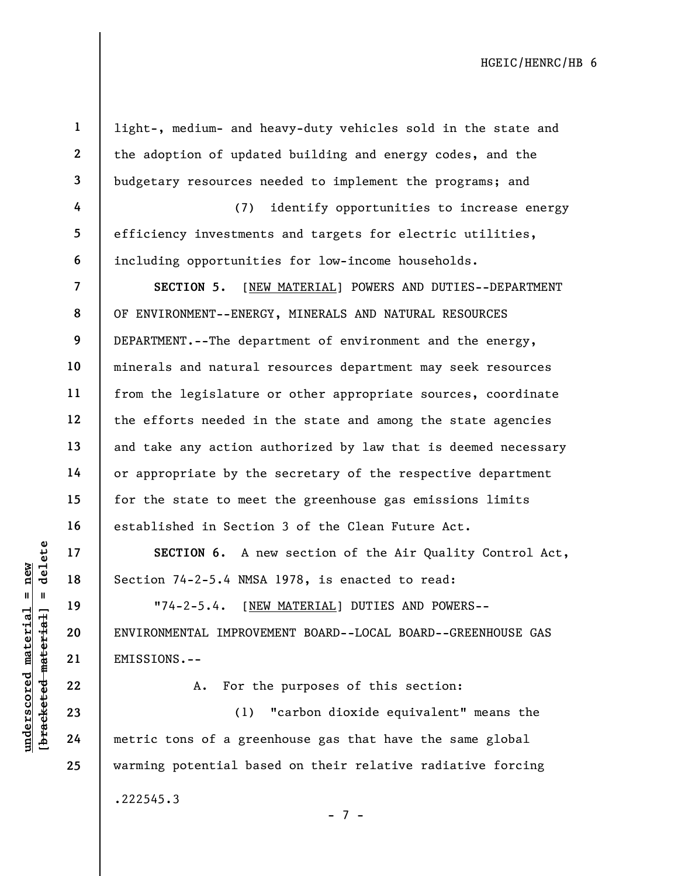1

2

3

14

17

18

19

20

21

22

23

24

25

light-, medium- and heavy-duty vehicles sold in the state and the adoption of updated building and energy codes, and the budgetary resources needed to implement the programs; and

4 5 6 (7) identify opportunities to increase energy efficiency investments and targets for electric utilities, including opportunities for low-income households.

7 8 9 10 11 12 13 15 16 SECTION 5. [NEW MATERIAL] POWERS AND DUTIES--DEPARTMENT OF ENVIRONMENT--ENERGY, MINERALS AND NATURAL RESOURCES DEPARTMENT.--The department of environment and the energy, minerals and natural resources department may seek resources from the legislature or other appropriate sources, coordinate the efforts needed in the state and among the state agencies and take any action authorized by law that is deemed necessary or appropriate by the secretary of the respective department for the state to meet the greenhouse gas emissions limits established in Section 3 of the Clean Future Act.

SECTION 6. A new section of the Air Quality Control Act, Section 74-2-5.4 NMSA 1978, is enacted to read:

underscored material = new [bracketed material] = delete "74-2-5.4. [NEW MATERIAL] DUTIES AND POWERS-- ENVIRONMENTAL IMPROVEMENT BOARD--LOCAL BOARD--GREENHOUSE GAS EMISSIONS.--

A. For the purposes of this section:

(1) "carbon dioxide equivalent" means the metric tons of a greenhouse gas that have the same global warming potential based on their relative radiative forcing

.222545.3

- 7 -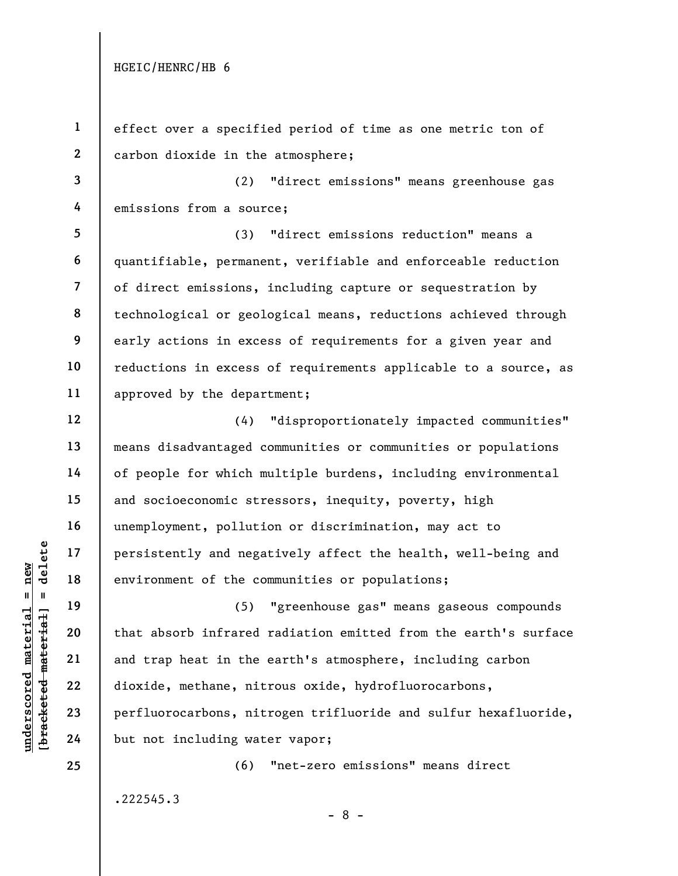understanding that absorb infrared<br>
we were the comment of the comment of the comment of the comment of the comment of the comment of the comment of the comment of the comment of the comment of the comment of the comment o 1 2 3 4 5 6 7 8 9 10 11 12 13 14 15 16 17 18 19 20 21 22 23 24 25 effect over a specified period of time as one metric ton of carbon dioxide in the atmosphere; (2) "direct emissions" means greenhouse gas emissions from a source; (3) "direct emissions reduction" means a quantifiable, permanent, verifiable and enforceable reduction of direct emissions, including capture or sequestration by technological or geological means, reductions achieved through early actions in excess of requirements for a given year and reductions in excess of requirements applicable to a source, as approved by the department; (4) "disproportionately impacted communities" means disadvantaged communities or communities or populations of people for which multiple burdens, including environmental and socioeconomic stressors, inequity, poverty, high unemployment, pollution or discrimination, may act to persistently and negatively affect the health, well-being and environment of the communities or populations; (5) "greenhouse gas" means gaseous compounds that absorb infrared radiation emitted from the earth's surface and trap heat in the earth's atmosphere, including carbon dioxide, methane, nitrous oxide, hydrofluorocarbons, perfluorocarbons, nitrogen trifluoride and sulfur hexafluoride, but not including water vapor; (6) "net-zero emissions" means direct

.222545.3

- 8 -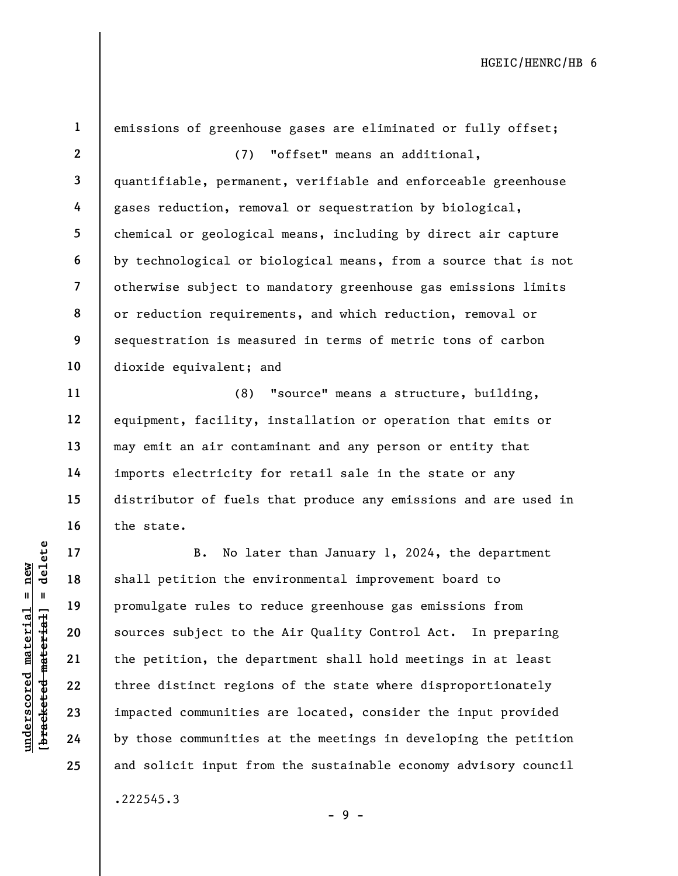23

24

25

1

emissions of greenhouse gases are eliminated or fully offset;

(7) "offset" means an additional, quantifiable, permanent, verifiable and enforceable greenhouse gases reduction, removal or sequestration by biological, chemical or geological means, including by direct air capture by technological or biological means, from a source that is not otherwise subject to mandatory greenhouse gas emissions limits or reduction requirements, and which reduction, removal or sequestration is measured in terms of metric tons of carbon dioxide equivalent; and

(8) "source" means a structure, building, equipment, facility, installation or operation that emits or may emit an air contaminant and any person or entity that imports electricity for retail sale in the state or any distributor of fuels that produce any emissions and are used in the state.

understand material material shall petition the end<br>
with the promulgate rules to reduced the promulgate rules to reduced the<br>
21 and 22 and the petition, the dep<br>
with the petition, the dep<br>
23 and impacted communities<br>
2 B. No later than January 1, 2024, the department shall petition the environmental improvement board to promulgate rules to reduce greenhouse gas emissions from sources subject to the Air Quality Control Act. In preparing the petition, the department shall hold meetings in at least three distinct regions of the state where disproportionately impacted communities are located, consider the input provided by those communities at the meetings in developing the petition and solicit input from the sustainable economy advisory council

.222545.3

- 9 -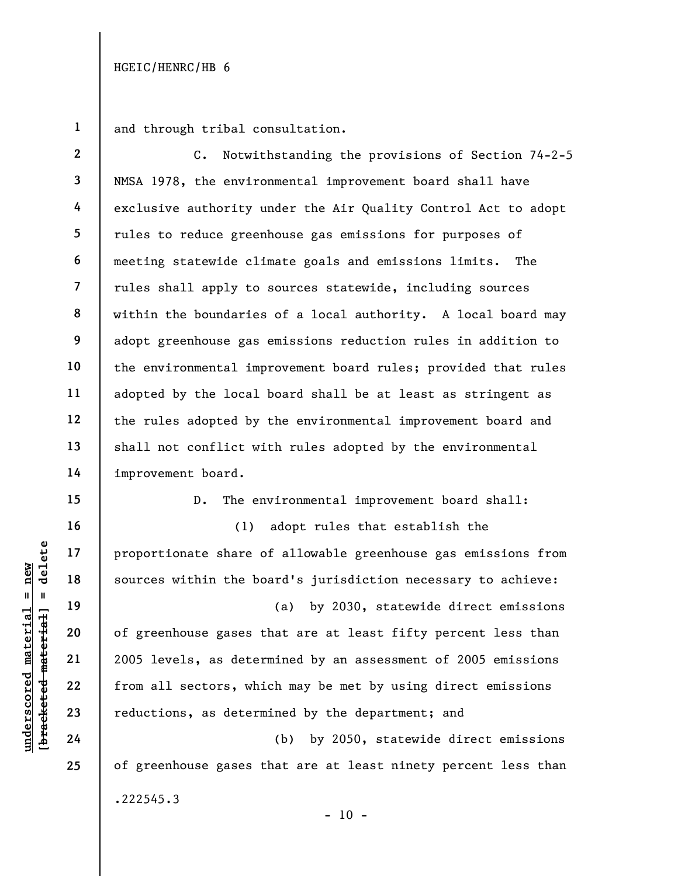1 and through tribal consultation.

2 3 4 5 7 8 9 10 12 14 C. Notwithstanding the provisions of Section 74-2-5 NMSA 1978, the environmental improvement board shall have exclusive authority under the Air Quality Control Act to adopt rules to reduce greenhouse gas emissions for purposes of meeting statewide climate goals and emissions limits. The rules shall apply to sources statewide, including sources within the boundaries of a local authority. A local board may adopt greenhouse gas emissions reduction rules in addition to the environmental improvement board rules; provided that rules adopted by the local board shall be at least as stringent as the rules adopted by the environmental improvement board and shall not conflict with rules adopted by the environmental improvement board.

D. The environmental improvement board shall:

understand material external sources within the botate material end of greenhouse gases that all sectors, which all sectors, which contained as a determined that all sectors, which reductions, as determined as  $\begin{array}{c|c} 2$ (1) adopt rules that establish the proportionate share of allowable greenhouse gas emissions from sources within the board's jurisdiction necessary to achieve: (a) by 2030, statewide direct emissions of greenhouse gases that are at least fifty percent less than 2005 levels, as determined by an assessment of 2005 emissions from all sectors, which may be met by using direct emissions reductions, as determined by the department; and

(b) by 2050, statewide direct emissions of greenhouse gases that are at least ninety percent less than .222545.3

6

11

13

15

16

17

18

19

20

21

22

23

24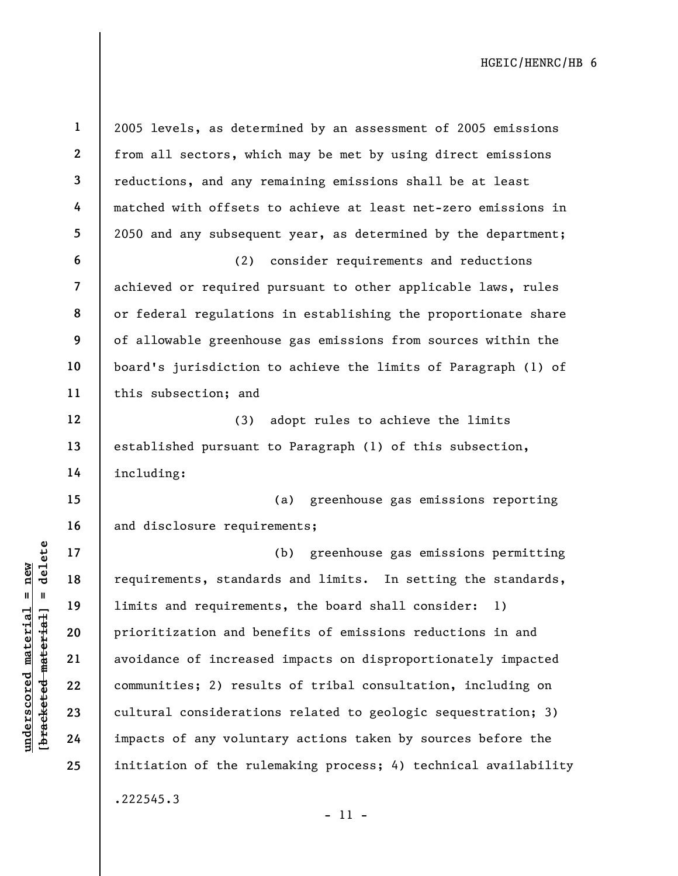under 17<br>
18<br>
19<br>
19<br>
19<br>
19<br>
19<br>
19<br>
11 mits and requirement<br>
20<br>
11 mits and requirement<br>
20<br>
11 mits and requirement<br>
prioritization and be<br>
prioritization and be<br>
21<br>
22<br>
23<br>
24<br>
24<br>
12<br>
24<br>
29<br>
29<br>
29<br>
29<br>
29<br>
29<br>
29<br> 1 2 3 4 5 6 7 8 9 10 11 12 13 14 15 16 17 18 19 20 21 22 23 24 25 2005 levels, as determined by an assessment of 2005 emissions from all sectors, which may be met by using direct emissions reductions, and any remaining emissions shall be at least matched with offsets to achieve at least net-zero emissions in 2050 and any subsequent year, as determined by the department; (2) consider requirements and reductions achieved or required pursuant to other applicable laws, rules or federal regulations in establishing the proportionate share of allowable greenhouse gas emissions from sources within the board's jurisdiction to achieve the limits of Paragraph (1) of this subsection; and (3) adopt rules to achieve the limits established pursuant to Paragraph (1) of this subsection, including: (a) greenhouse gas emissions reporting and disclosure requirements; (b) greenhouse gas emissions permitting requirements, standards and limits. In setting the standards, limits and requirements, the board shall consider: 1) prioritization and benefits of emissions reductions in and avoidance of increased impacts on disproportionately impacted communities; 2) results of tribal consultation, including on cultural considerations related to geologic sequestration; 3) impacts of any voluntary actions taken by sources before the initiation of the rulemaking process; 4) technical availability .222545.3

- 11 -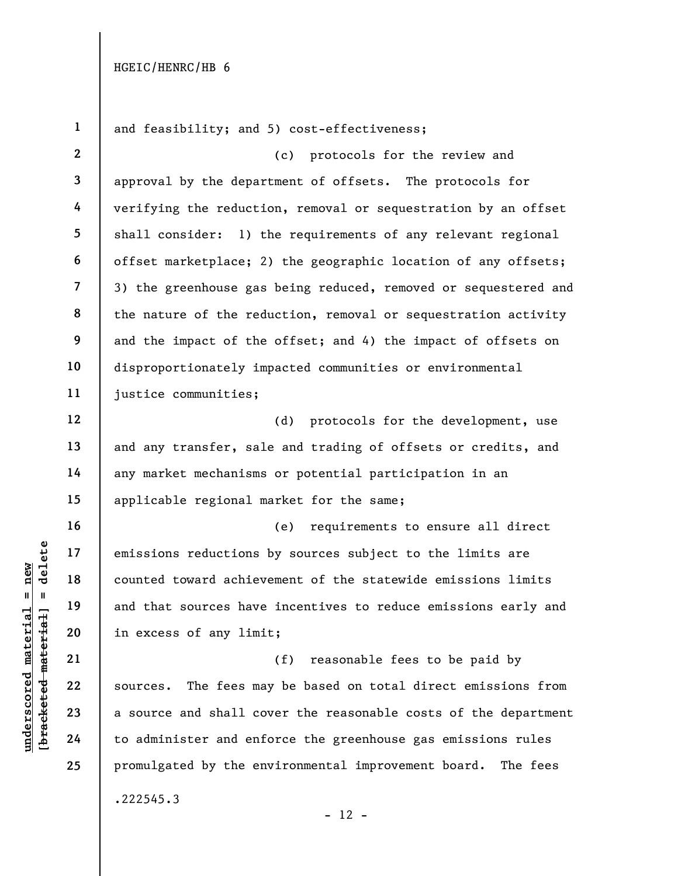underscored material = new [bracketed material] = delete 1 2 3 4 5 6 7 8 9 10 11 12 13 14 15 16 17 18 19 20 21 22 23 24 25 and feasibility; and 5) cost-effectiveness; (c) protocols for the review and approval by the department of offsets. The protocols for verifying the reduction, removal or sequestration by an offset shall consider: 1) the requirements of any relevant regional offset marketplace; 2) the geographic location of any offsets; 3) the greenhouse gas being reduced, removed or sequestered and the nature of the reduction, removal or sequestration activity and the impact of the offset; and 4) the impact of offsets on disproportionately impacted communities or environmental justice communities; (d) protocols for the development, use and any transfer, sale and trading of offsets or credits, and any market mechanisms or potential participation in an applicable regional market for the same; (e) requirements to ensure all direct emissions reductions by sources subject to the limits are counted toward achievement of the statewide emissions limits and that sources have incentives to reduce emissions early and in excess of any limit; (f) reasonable fees to be paid by sources. The fees may be based on total direct emissions from a source and shall cover the reasonable costs of the department to administer and enforce the greenhouse gas emissions rules promulgated by the environmental improvement board. The fees .222545.3  $- 12 -$